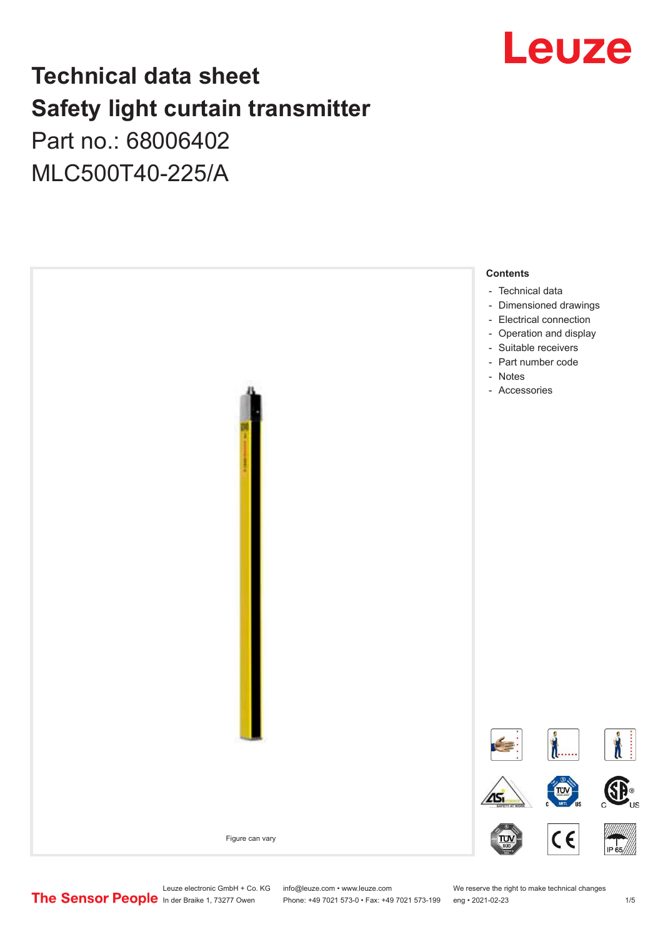

# **Technical data sheet Safety light curtain transmitter** Part no.: 68006402

MLC500T40-225/A



Leuze electronic GmbH + Co. KG info@leuze.com • www.leuze.com We reserve the right to make technical changes<br>
The Sensor People in der Braike 1, 73277 Owen Phone: +49 7021 573-0 • Fax: +49 7021 573-199 eng • 2021-02-23

Phone: +49 7021 573-0 • Fax: +49 7021 573-199 eng • 2021-02-23 1 /5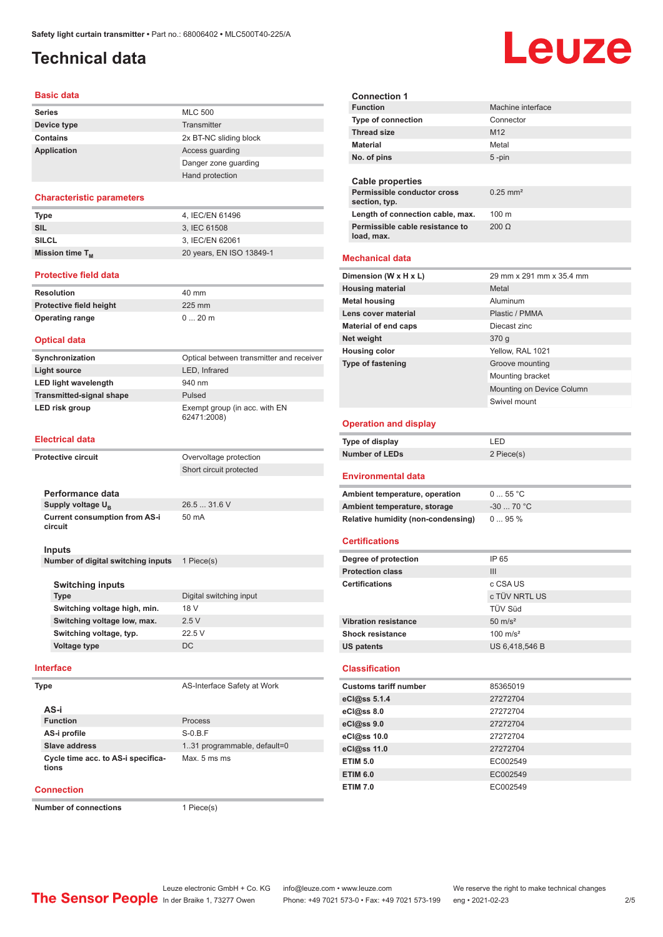# <span id="page-1-0"></span>**Technical data**

#### **Basic data**

| <b>Series</b>      | <b>MLC 500</b>         |
|--------------------|------------------------|
| Device type        | Transmitter            |
| Contains           | 2x BT-NC sliding block |
| <b>Application</b> | Access guarding        |
|                    | Danger zone quarding   |
|                    | Hand protection        |

#### **Characteristic parameters**

| Type                 | 4. IEC/EN 61496          |
|----------------------|--------------------------|
| SIL                  | 3. IEC 61508             |
| <b>SILCL</b>         | 3, IEC/EN 62061          |
| Mission time $T_{M}$ | 20 years, EN ISO 13849-1 |

#### **Protective field data**

| Resolution              | 40 mm   |
|-------------------------|---------|
| Protective field height | 225 mm  |
| <b>Operating range</b>  | $020$ m |

#### **Optical data**

| Synchronization                 | Optical between transmitter and receiver     |
|---------------------------------|----------------------------------------------|
| Light source                    | LED, Infrared                                |
| <b>LED light wavelength</b>     | 940 nm                                       |
| <b>Transmitted-signal shape</b> | Pulsed                                       |
| LED risk group                  | Exempt group (in acc. with EN<br>62471:2008) |

#### **Electrical data**

| <b>Protective circuit</b> |                                                 | Overvoltage protection      |
|---------------------------|-------------------------------------------------|-----------------------------|
|                           |                                                 | Short circuit protected     |
|                           |                                                 |                             |
|                           | Performance data                                |                             |
|                           | Supply voltage U <sub>B</sub>                   | 26.5  31.6 V                |
|                           | <b>Current consumption from AS-i</b><br>circuit | 50 mA                       |
|                           | Inputs                                          |                             |
|                           | Number of digital switching inputs              | 1 Piece(s)                  |
|                           |                                                 |                             |
|                           | <b>Switching inputs</b>                         |                             |
|                           | <b>Type</b>                                     | Digital switching input     |
|                           | Switching voltage high, min.                    | 18 V                        |
|                           | Switching voltage low, max.                     | 2.5V                        |
|                           | Switching voltage, typ.                         | 22.5V                       |
|                           | Voltage type                                    | DC.                         |
|                           | <b>Interface</b>                                |                             |
|                           | <b>Type</b>                                     | AS-Interface Safety at Work |

| AS-i                                        |                              |
|---------------------------------------------|------------------------------|
| <b>Function</b>                             | Process                      |
| AS-i profile                                | $S-0.B.F$                    |
| Slave address                               | 1.31 programmable, default=0 |
| Cycle time acc. to AS-i specifica-<br>tions | Max. 5 ms ms                 |

#### **Connection**

**Number of connections** 1 Piece(s)

| <b>Connection 1</b>                      |                           |
|------------------------------------------|---------------------------|
| <b>Function</b>                          | Machine interface         |
| <b>Type of connection</b>                | Connector                 |
| <b>Thread size</b>                       | M <sub>12</sub>           |
| <b>Material</b>                          | Metal                     |
| No. of pins                              | 5 -pin                    |
|                                          |                           |
| Cable properties                         |                           |
| Permissible conductor cross              | $0.25$ mm <sup>2</sup>    |
| section, typ.                            |                           |
| Length of connection cable, max.         | 100 <sub>m</sub>          |
| Permissible cable resistance to          | $200 \Omega$              |
| load, max.                               |                           |
| <b>Mechanical data</b>                   |                           |
| Dimension (W x H x L)                    | 29 mm x 291 mm x 35.4 mm  |
| <b>Housing material</b>                  | Metal                     |
| <b>Metal housing</b>                     | Aluminum                  |
| Lens cover material                      | Plastic / PMMA            |
| <b>Material of end caps</b>              | Diecast zinc              |
| Net weight                               | 370 g                     |
| <b>Housing color</b>                     | Yellow, RAL 1021          |
| <b>Type of fastening</b>                 | Groove mounting           |
|                                          | Mounting bracket          |
|                                          | Mounting on Device Column |
|                                          | Swivel mount              |
|                                          |                           |
| <b>Operation and display</b>             |                           |
|                                          | LED                       |
| <b>Type of display</b>                   |                           |
| <b>Number of LEDs</b>                    | 2 Piece(s)                |
| Environmental data                       |                           |
| Ambient temperature, operation           | 055 °C                    |
| Ambient temperature, storage             | $-30$ 70 °C               |
| Relative humidity (non-condensing)       | 095%                      |
|                                          |                           |
| Certifications                           |                           |
| Degree of protection                     | IP 65                     |
| <b>Protection class</b>                  | Ш                         |
| Certifications                           | c CSA US                  |
|                                          | c TÜV NRTL US             |
|                                          | TÜV Süd                   |
| <b>Vibration resistance</b>              | $50 \text{ m/s}^2$        |
| <b>Shock resistance</b>                  | $100 \text{ m/s}^2$       |
| <b>US patents</b>                        | US 6,418,546 B            |
| <b>Classification</b>                    |                           |
|                                          |                           |
| <b>Customs tariff number</b>             | 85365019                  |
|                                          | 27272704                  |
|                                          | 27272704<br>27272704      |
| eCl@ss 5.1.4<br>eCl@ss 8.0<br>eCl@ss 9.0 |                           |
| eCl@ss 10.0                              | 27272704                  |
| eCl@ss 11.0                              | 27272704                  |
| <b>ETIM 5.0</b>                          | EC002549                  |
| <b>ETIM 6.0</b><br><b>ETIM 7.0</b>       | EC002549<br>EC002549      |

# Leuze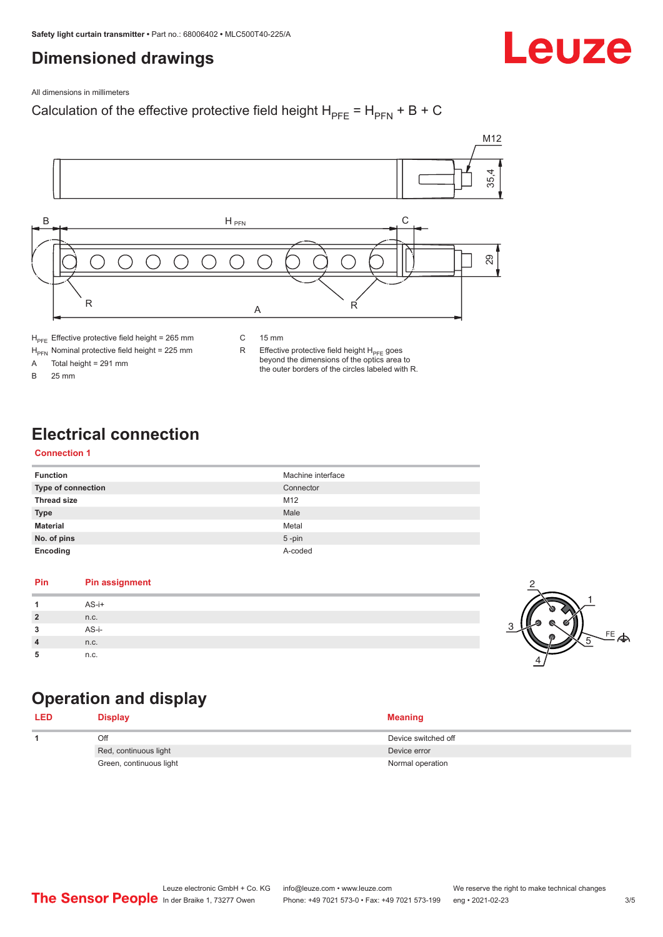# <span id="page-2-0"></span>**Dimensioned drawings**



All dimensions in millimeters

### Calculation of the effective protective field height  $H_{PFE} = H_{PFN} + B + C$



 $H_{\text{PFN}}$  Nominal protective field height = 225 mm<br>A Total height = 291 mm

Total height =  $291$  mm B 25 mm

R Effective protective field height  $H_{PFE}$  goes beyond the dimensions of the optics area to

the outer borders of the circles labeled with R.

# **Electrical connection**

#### **Connection 1**

| <b>Function</b>    | Machine interface |
|--------------------|-------------------|
| Type of connection | Connector         |
| <b>Thread size</b> | M12               |
| <b>Type</b>        | Male              |
| <b>Material</b>    | Metal             |
| No. of pins        | $5$ -pin          |
| Encoding           | A-coded           |

#### **Pin Pin assignment 1** AS-i+ **2** n.c. **3** AS-i-**4** n.c. **5** n.c.



# **Operation and display**

| <b>LED</b> | <b>Display</b>          | Meaning             |
|------------|-------------------------|---------------------|
|            | Off                     | Device switched off |
|            | Red, continuous light   | Device error        |
|            | Green, continuous light | Normal operation    |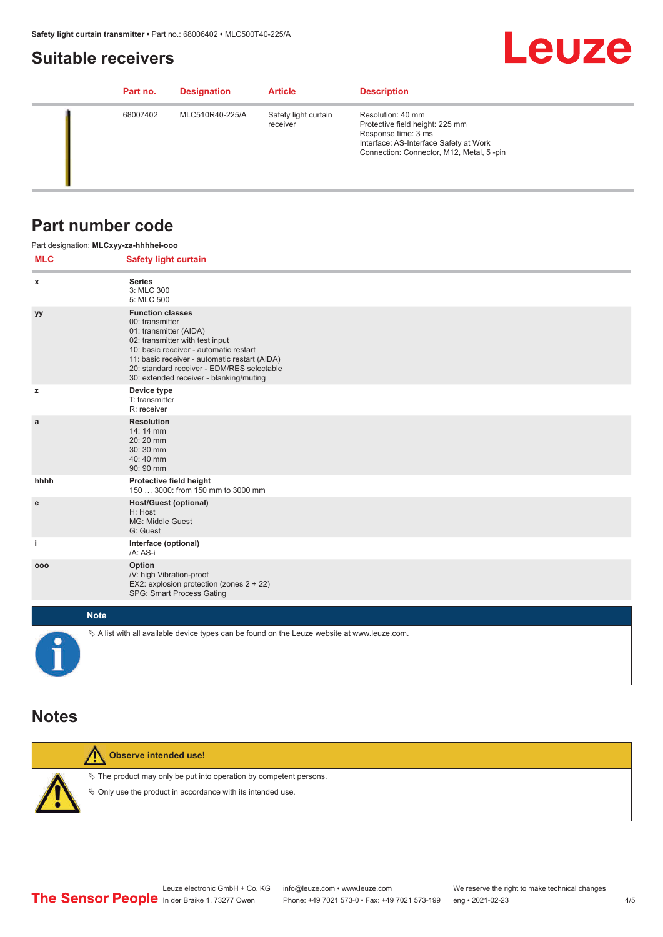# <span id="page-3-0"></span>**Suitable receivers**

# **Leuze**

| Part no. | <b>Designation</b> | <b>Article</b>                   | <b>Description</b>                                                                                                                                                |
|----------|--------------------|----------------------------------|-------------------------------------------------------------------------------------------------------------------------------------------------------------------|
| 68007402 | MLC510R40-225/A    | Safety light curtain<br>receiver | Resolution: 40 mm<br>Protective field height: 225 mm<br>Response time: 3 ms<br>Interface: AS-Interface Safety at Work<br>Connection: Connector, M12, Metal, 5-pin |

## **Part number code**

|            | Part designation: MLCxyy-za-hhhhei-ooo                                                                                                                                                                                                                                                      |
|------------|---------------------------------------------------------------------------------------------------------------------------------------------------------------------------------------------------------------------------------------------------------------------------------------------|
| <b>MLC</b> | <b>Safety light curtain</b>                                                                                                                                                                                                                                                                 |
| x          | <b>Series</b><br>3: MLC 300<br>5: MLC 500                                                                                                                                                                                                                                                   |
| уу         | <b>Function classes</b><br>00: transmitter<br>01: transmitter (AIDA)<br>02: transmitter with test input<br>10: basic receiver - automatic restart<br>11: basic receiver - automatic restart (AIDA)<br>20: standard receiver - EDM/RES selectable<br>30: extended receiver - blanking/muting |
| z          | Device type<br>T: transmitter<br>R: receiver                                                                                                                                                                                                                                                |
| a          | <b>Resolution</b><br>14: 14 mm<br>20:20 mm<br>30:30 mm<br>40:40 mm<br>90: 90 mm                                                                                                                                                                                                             |
| hhhh       | Protective field height<br>150  3000: from 150 mm to 3000 mm                                                                                                                                                                                                                                |
| ${\bf e}$  | <b>Host/Guest (optional)</b><br>H: Host<br>MG: Middle Guest<br>G: Guest                                                                                                                                                                                                                     |
| j.         | Interface (optional)<br>/A: AS-i                                                                                                                                                                                                                                                            |
| 000        | Option<br>/V: high Vibration-proof<br>EX2: explosion protection (zones 2 + 22)<br>SPG: Smart Process Gating                                                                                                                                                                                 |
|            | <b>Note</b>                                                                                                                                                                                                                                                                                 |
|            | $\&$ A list with all available device types can be found on the Leuze website at www.leuze.com.                                                                                                                                                                                             |

## **Notes**

| Observe intended use!                                                                                                                |
|--------------------------------------------------------------------------------------------------------------------------------------|
| $\&$ The product may only be put into operation by competent persons.<br>§ Only use the product in accordance with its intended use. |